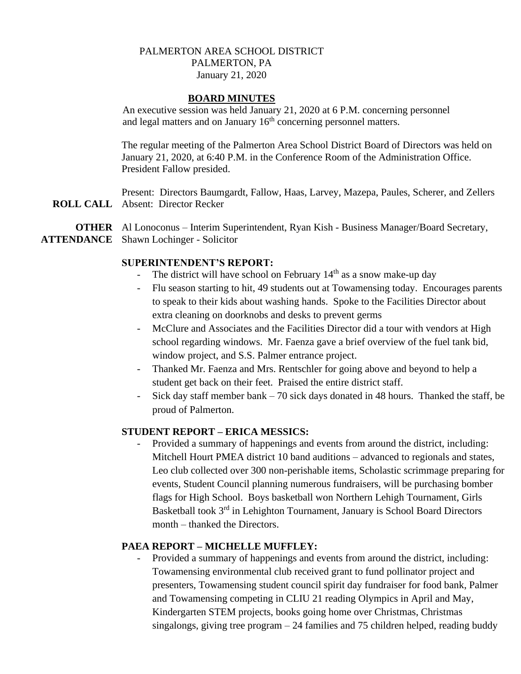### PALMERTON AREA SCHOOL DISTRICT PALMERTON, PA January 21, 2020

#### **BOARD MINUTES**

An executive session was held January 21, 2020 at 6 P.M. concerning personnel and legal matters and on January  $16<sup>th</sup>$  concerning personnel matters.

The regular meeting of the Palmerton Area School District Board of Directors was held on January 21, 2020, at 6:40 P.M. in the Conference Room of the Administration Office. President Fallow presided.

**ROLL CALL** Absent: Director Recker Present: Directors Baumgardt, Fallow, Haas, Larvey, Mazepa, Paules, Scherer, and Zellers

**OTHER** Al Lonoconus – Interim Superintendent, Ryan Kish - Business Manager/Board Secretary, **ATTENDANCE** Shawn Lochinger - Solicitor

#### **SUPERINTENDENT'S REPORT:**

- The district will have school on February  $14<sup>th</sup>$  as a snow make-up day
- Flu season starting to hit, 49 students out at Towamensing today. Encourages parents to speak to their kids about washing hands. Spoke to the Facilities Director about extra cleaning on doorknobs and desks to prevent germs
- McClure and Associates and the Facilities Director did a tour with vendors at High school regarding windows. Mr. Faenza gave a brief overview of the fuel tank bid, window project, and S.S. Palmer entrance project.
- Thanked Mr. Faenza and Mrs. Rentschler for going above and beyond to help a student get back on their feet. Praised the entire district staff.
- Sick day staff member bank  $-70$  sick days donated in 48 hours. Thanked the staff, be proud of Palmerton.

#### **STUDENT REPORT – ERICA MESSICS:**

Provided a summary of happenings and events from around the district, including: Mitchell Hourt PMEA district 10 band auditions – advanced to regionals and states, Leo club collected over 300 non-perishable items, Scholastic scrimmage preparing for events, Student Council planning numerous fundraisers, will be purchasing bomber flags for High School. Boys basketball won Northern Lehigh Tournament, Girls Basketball took 3<sup>rd</sup> in Lehighton Tournament, January is School Board Directors month – thanked the Directors.

#### **PAEA REPORT – MICHELLE MUFFLEY:**

Provided a summary of happenings and events from around the district, including: Towamensing environmental club received grant to fund pollinator project and presenters, Towamensing student council spirit day fundraiser for food bank, Palmer and Towamensing competing in CLIU 21 reading Olympics in April and May, Kindergarten STEM projects, books going home over Christmas, Christmas singalongs, giving tree program  $-24$  families and 75 children helped, reading buddy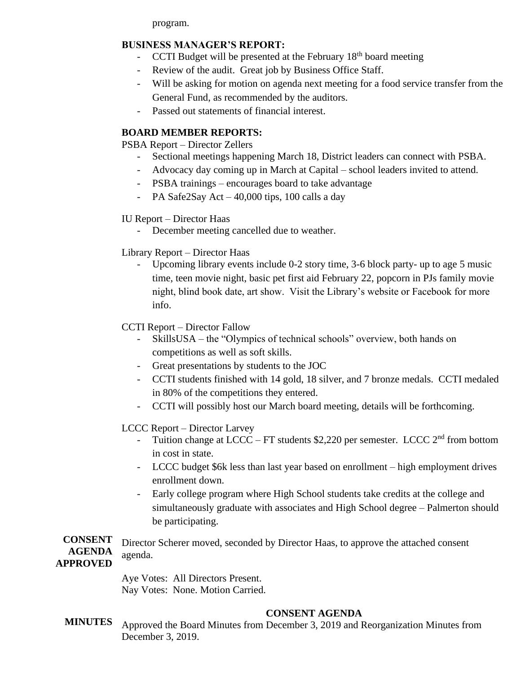program.

## **BUSINESS MANAGER'S REPORT:**

- CCTI Budget will be presented at the February 18<sup>th</sup> board meeting
- Review of the audit. Great job by Business Office Staff.
- Will be asking for motion on agenda next meeting for a food service transfer from the General Fund, as recommended by the auditors.
- Passed out statements of financial interest.

# **BOARD MEMBER REPORTS:**

PSBA Report – Director Zellers

- Sectional meetings happening March 18, District leaders can connect with PSBA.
- Advocacy day coming up in March at Capital school leaders invited to attend.
- PSBA trainings encourages board to take advantage
- PA Safe2Say Act  $-$  40,000 tips, 100 calls a day

### IU Report – Director Haas

- December meeting cancelled due to weather.

Library Report – Director Haas

- Upcoming library events include 0-2 story time, 3-6 block party- up to age 5 music time, teen movie night, basic pet first aid February 22, popcorn in PJs family movie night, blind book date, art show. Visit the Library's website or Facebook for more info.

# CCTI Report – Director Fallow

- SkillsUSA the "Olympics of technical schools" overview, both hands on competitions as well as soft skills.
- Great presentations by students to the JOC
- CCTI students finished with 14 gold, 18 silver, and 7 bronze medals. CCTI medaled in 80% of the competitions they entered.
- CCTI will possibly host our March board meeting, details will be forthcoming.

# LCCC Report – Director Larvey

- Tuition change at LCCC FT students \$2,220 per semester. LCCC  $2<sup>nd</sup>$  from bottom in cost in state.
- LCCC budget \$6k less than last year based on enrollment high employment drives enrollment down.
- Early college program where High School students take credits at the college and simultaneously graduate with associates and High School degree – Palmerton should be participating.

**CONSENT AGENDA APPROVED** Director Scherer moved, seconded by Director Haas, to approve the attached consent agenda.

> Aye Votes: All Directors Present. Nay Votes: None. Motion Carried.

# **CONSENT AGENDA**

**MINUTES** Approved the Board Minutes from December 3, 2019 and Reorganization Minutes from December 3, 2019.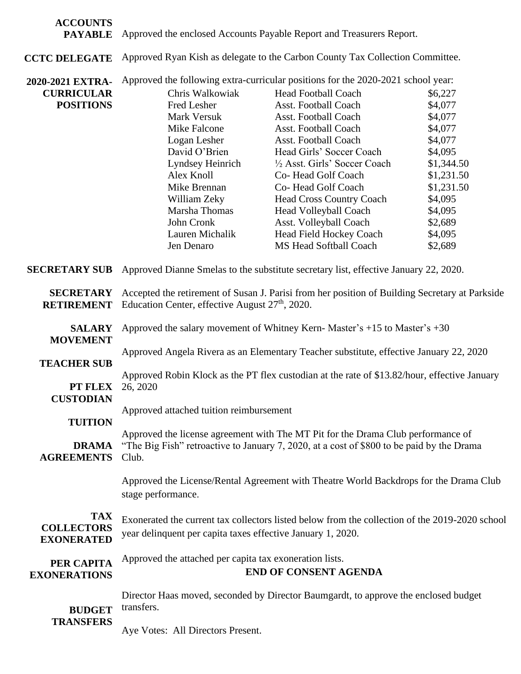| <b>ACCOUNTS</b><br><b>PAYABLE</b>      | Approved the enclosed Accounts Payable Report and Treasurers Report.                                                                                                                                              |                                                                                      |            |
|----------------------------------------|-------------------------------------------------------------------------------------------------------------------------------------------------------------------------------------------------------------------|--------------------------------------------------------------------------------------|------------|
| <b>CCTC DELEGATE</b>                   | Approved Ryan Kish as delegate to the Carbon County Tax Collection Committee.                                                                                                                                     |                                                                                      |            |
| 2020-2021 EXTRA-                       | Approved the following extra-curricular positions for the 2020-2021 school year:                                                                                                                                  |                                                                                      |            |
| <b>CURRICULAR</b>                      | Chris Walkowiak                                                                                                                                                                                                   | <b>Head Football Coach</b>                                                           | \$6,227    |
| <b>POSITIONS</b>                       | Fred Lesher                                                                                                                                                                                                       | Asst. Football Coach                                                                 | \$4,077    |
|                                        | Mark Versuk                                                                                                                                                                                                       | Asst. Football Coach                                                                 | \$4,077    |
|                                        | Mike Falcone                                                                                                                                                                                                      | Asst. Football Coach                                                                 | \$4,077    |
|                                        | Logan Lesher                                                                                                                                                                                                      | Asst. Football Coach                                                                 | \$4,077    |
|                                        | David O'Brien                                                                                                                                                                                                     | Head Girls' Soccer Coach                                                             | \$4,095    |
|                                        | Lyndsey Heinrich                                                                                                                                                                                                  | 1/2 Asst. Girls' Soccer Coach                                                        | \$1,344.50 |
|                                        | Alex Knoll                                                                                                                                                                                                        | Co-Head Golf Coach                                                                   | \$1,231.50 |
|                                        | Mike Brennan                                                                                                                                                                                                      | Co-Head Golf Coach                                                                   | \$1,231.50 |
|                                        | William Zeky                                                                                                                                                                                                      | Head Cross Country Coach                                                             | \$4,095    |
|                                        | Marsha Thomas                                                                                                                                                                                                     | <b>Head Volleyball Coach</b>                                                         | \$4,095    |
|                                        | John Cronk                                                                                                                                                                                                        | Asst. Volleyball Coach                                                               | \$2,689    |
|                                        | Lauren Michalik                                                                                                                                                                                                   | Head Field Hockey Coach                                                              | \$4,095    |
|                                        | Jen Denaro                                                                                                                                                                                                        | MS Head Softball Coach                                                               | \$2,689    |
| <b>SECRETARY SUB</b>                   |                                                                                                                                                                                                                   | Approved Dianne Smelas to the substitute secretary list, effective January 22, 2020. |            |
| <b>SECRETARY</b>                       | Accepted the retirement of Susan J. Parisi from her position of Building Secretary at Parkside<br>Education Center, effective August $27th$ , 2020.                                                               |                                                                                      |            |
| <b>RETIREMENT</b>                      |                                                                                                                                                                                                                   |                                                                                      |            |
| <b>SALARY</b><br><b>MOVEMENT</b>       | Approved the salary movement of Whitney Kern-Master's +15 to Master's +30                                                                                                                                         |                                                                                      |            |
| <b>TEACHER SUB</b>                     | Approved Angela Rivera as an Elementary Teacher substitute, effective January 22, 2020                                                                                                                            |                                                                                      |            |
| PT FLEX                                | Approved Robin Klock as the PT flex custodian at the rate of \$13.82/hour, effective January<br>26, 2020                                                                                                          |                                                                                      |            |
| <b>CUSTODIAN</b>                       |                                                                                                                                                                                                                   |                                                                                      |            |
| <b>TUITION</b>                         | Approved attached tuition reimbursement                                                                                                                                                                           |                                                                                      |            |
|                                        | Approved the license agreement with The MT Pit for the Drama Club performance of                                                                                                                                  |                                                                                      |            |
| <b>DRAMA</b><br><b>AGREEMENTS</b>      | "The Big Fish" retroactive to January 7, 2020, at a cost of \$800 to be paid by the Drama<br>Club.<br>Approved the License/Rental Agreement with Theatre World Backdrops for the Drama Club<br>stage performance. |                                                                                      |            |
|                                        |                                                                                                                                                                                                                   |                                                                                      |            |
| <b>TAX</b>                             | Exonerated the current tax collectors listed below from the collection of the 2019-2020 school                                                                                                                    |                                                                                      |            |
| <b>COLLECTORS</b><br><b>EXONERATED</b> | year delinquent per capita taxes effective January 1, 2020.                                                                                                                                                       |                                                                                      |            |
| PER CAPITA                             | Approved the attached per capita tax exoneration lists.                                                                                                                                                           |                                                                                      |            |
| <b>EXONERATIONS</b>                    | <b>END OF CONSENT AGENDA</b>                                                                                                                                                                                      |                                                                                      |            |
|                                        | Director Haas moved, seconded by Director Baumgardt, to approve the enclosed budget                                                                                                                               |                                                                                      |            |
| <b>BUDGET</b>                          | transfers.                                                                                                                                                                                                        |                                                                                      |            |
| <b>TRANSFERS</b>                       |                                                                                                                                                                                                                   |                                                                                      |            |

Aye Votes: All Directors Present.